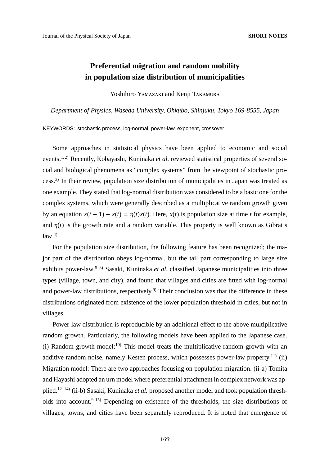## **Preferential migration and random mobility in population size distribution of municipalities**

Yoshihiro YAMAZAKI and Kenji TAKAMURA

*Department of Physics, Waseda University, Ohkubo, Shinjuku, Tokyo 169-8555, Japan*

KEYWORDS: stochastic process, log-normal, power-law, exponent, crossover

Some approaches in statistical physics have been applied to economic and social events.<sup>1, 2)</sup> Recently, Kobayashi, Kuninaka *et al.* reviewed statistical properties of several social and biological phenomena as "complex systems" from the viewpoint of stochastic process.3) In their review, population size distribution of municipalities in Japan was treated as one example. They stated that log-normal distribution was considered to be a basic one for the complex systems, which were generally described as a multiplicative random growth given by an equation  $x(t + 1) - x(t) = \eta(t)x(t)$ . Here,  $x(t)$  is population size at time *t* for example, and  $\eta(t)$  is the growth rate and a random variable. This property is well known as Gibrat's  $law<sup>4</sup>$ 

For the population size distribution, the following feature has been recognized; the major part of the distribution obeys log-normal, but the tail part corresponding to large size exhibits power-law.5–8) Sasaki, Kuninaka *et al.* classified Japanese municipalities into three types (village, town, and city), and found that villages and cities are fitted with log-normal and power-law distributions, respectively.<sup>9)</sup> Their conclusion was that the difference in these distributions originated from existence of the lower population threshold in cities, but not in villages.

Power-law distribution is reproducible by an additional effect to the above multiplicative random growth. Particularly, the following models have been applied to the Japanese case. (i) Random growth model: $10$ <sup>to</sup>) This model treats the multiplicative random growth with an additive random noise, namely Kesten process, which possesses power-law property.<sup>11)</sup> (ii) Migration model: There are two approaches focusing on population migration. (ii-a) Tomita and Hayashi adopted an urn model where preferential attachment in complex network was applied.12–14) (ii-b) Sasaki, Kuninaka *et al.* proposed another model and took population thresholds into account.9, 15) Depending on existence of the thresholds, the size distributions of villages, towns, and cities have been separately reproduced. It is noted that emergence of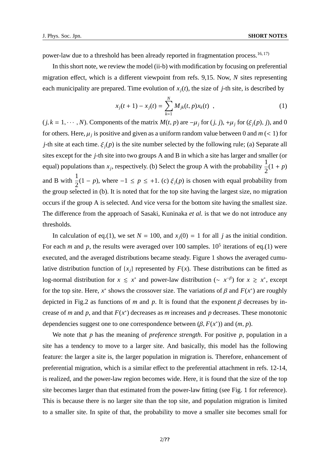power-law due to a threshold has been already reported in fragmentation process.<sup>16, 17)</sup>

In this short note, we review the model (ii-b) with modification by focusing on preferential migration effect, which is a different viewpoint from refs. 9,15. Now, *N* sites representing each municipality are prepared. Time evolution of  $x_i(t)$ , the size of *j*-th site, is described by

$$
x_j(t+1) - x_j(t) = \sum_{k=1}^{N} M_{jk}(t, p) x_k(t) , \qquad (1)
$$

 $(j, k = 1, \dots, N)$ . Components of the matrix  $M(t, p)$  are  $-\mu_j$  for  $(j, j)$ ,  $+\mu_j$  for  $(\xi_j(p), j)$ , and 0 for others. Here,  $\mu_j$  is positive and given as a uniform random value between 0 and  $m \ll 1$ ) for *j*-th site at each time.  $\xi_i(p)$  is the site number selected by the following rule; (a) Separate all sites except for the *j*-th site into two groups A and B in which a site has larger and smaller (or equal) populations than  $x_j$ , respectively. (b) Select the group A with the probability  $\frac{1}{2}$ 2  $(1 + p)$ and B with  $\frac{1}{2}$  $\frac{1}{2}(1-p)$ , where  $-1 \le p \le +1$ . (c)  $\xi_j(p)$  is chosen with equal probability from the group selected in (b). It is noted that for the top site having the largest size, no migration occurs if the group A is selected. And vice versa for the bottom site having the smallest size. The difference from the approach of Sasaki, Kuninaka *et al.* is that we do not introduce any thresholds.

In calculation of eq.(1), we set  $N = 100$ , and  $x_i(0) = 1$  for all *j* as the initial condition. For each *m* and *p*, the results were averaged over 100 samples.  $10^5$  iterations of eq.(1) were executed, and the averaged distributions became steady. Figure 1 shows the averaged cumulative distribution function of  $\{x_i\}$  represented by  $F(x)$ . These distributions can be fitted as log-normal distribution for  $x \leq x^*$  and power-law distribution ( $\sim x^{-\beta}$ ) for  $x \geq x^*$ , except for the top site. Here,  $x^*$  shows the crossover size. The variations of  $\beta$  and  $F(x^*)$  are roughly depicted in Fig.2 as functions of *m* and *p*. It is found that the exponent  $\beta$  decreases by increase of *m* and *p*, and that  $F(x^*)$  decreases as *m* increases and *p* decreases. These monotonic dependencies suggest one to one correspondence between  $(\beta, F(x^*))$  and  $(m, p)$ .

We note that *p* has the meaning of *preference strength*. For positive *p*, population in a site has a tendency to move to a larger site. And basically, this model has the following feature: the larger a site is, the larger population in migration is. Therefore, enhancement of preferential migration, which is a similar effect to the preferential attachment in refs. 12-14, is realized, and the power-law region becomes wide. Here, it is found that the size of the top site becomes larger than that estimated from the power-law fitting (see Fig. 1 for reference). This is because there is no larger site than the top site, and population migration is limited to a smaller site. In spite of that, the probability to move a smaller site becomes small for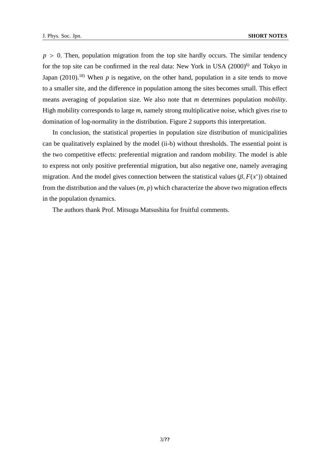$p > 0$ . Then, population migration from the top site hardly occurs. The similar tendency for the top site can be confirmed in the real data: New York in USA  $(2000)^6$  and Tokyo in Japan  $(2010)$ <sup>18)</sup> When *p* is negative, on the other hand, population in a site tends to move to a smaller site, and the difference in population among the sites becomes small. This effect means averaging of population size. We also note that *m* determines population *mobility*. High mobility corresponds to large *m*, namely strong multiplicative noise, which gives rise to domination of log-normality in the distribution. Figure 2 supports this interpretation.

In conclusion, the statistical properties in population size distribution of municipalities can be qualitatively explained by the model (ii-b) without thresholds. The essential point is the two competitive effects: preferential migration and random mobility. The model is able to express not only positive preferential migration, but also negative one, namely averaging migration. And the model gives connection between the statistical values  $(\beta, F(x^*))$  obtained from the distribution and the values (*m*, *p*) which characterize the above two migration effects in the population dynamics.

The authors thank Prof. Mitsugu Matsushita for fruitful comments.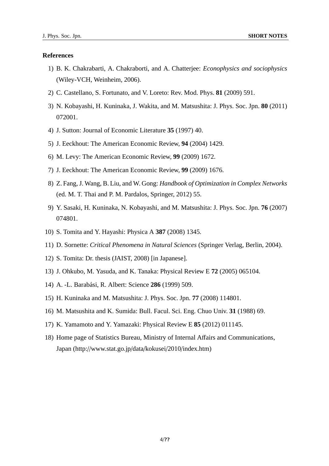## **References**

- 1) B. K. Chakrabarti, A. Chakraborti, and A. Chatterjee: *Econophysics and sociophysics* (Wiley-VCH, Weinheim, 2006).
- 2) C. Castellano, S. Fortunato, and V. Loreto: Rev. Mod. Phys. **81** (2009) 591.
- 3) N. Kobayashi, H. Kuninaka, J. Wakita, and M. Matsushita: J. Phys. Soc. Jpn. **80** (2011) 072001.
- 4) J. Sutton: Journal of Economic Literature **35** (1997) 40.
- 5) J. Eeckhout: The American Economic Review, **94** (2004) 1429.
- 6) M. Levy: The American Economic Review, **99** (2009) 1672.
- 7) J. Eeckhout: The American Economic Review, **99** (2009) 1676.
- 8) Z. Fang, J. Wang, B. Liu, and W. Gong: *Handbook of Optimization in Complex Networks* (ed. M. T. Thai and P. M. Pardalos, Springer, 2012) 55.
- 9) Y. Sasaki, H. Kuninaka, N. Kobayashi, and M. Matsushita: J. Phys. Soc. Jpn. **76** (2007) 074801.
- 10) S. Tomita and Y. Hayashi: Physica A **387** (2008) 1345.
- 11) D. Sornette: *Critical Phenomena in Natural Sciences* (Springer Verlag, Berlin, 2004).
- 12) S. Tomita: Dr. thesis (JAIST, 2008) [in Japanese].
- 13) J. Ohkubo, M. Yasuda, and K. Tanaka: Physical Review E **72** (2005) 065104.
- 14) A. -L. Barab´asi, R. Albert: Science **286** (1999) 509.
- 15) H. Kuninaka and M. Matsushita: J. Phys. Soc. Jpn. **77** (2008) 114801.
- 16) M. Matsushita and K. Sumida: Bull. Facul. Sci. Eng. Chuo Univ. **31** (1988) 69.
- 17) K. Yamamoto and Y. Yamazaki: Physical Review E **85** (2012) 011145.
- 18) Home page of Statistics Bureau, Ministry of Internal Affairs and Communications, Japan (http://www.stat.go.jp/data/kokusei/2010/index.htm)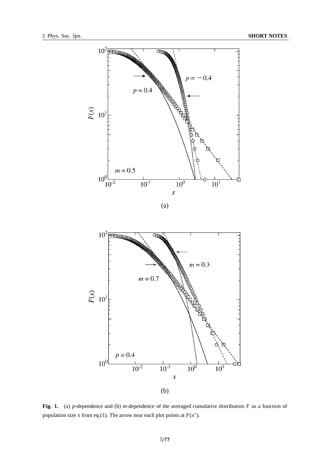

**Fig. 1.** (a) *p*-dependence and (b) *m*-dependence of the averaged cumulative distribution *F* as a function of population size *x* from eq.(1). The arrow near each plot points at  $F(x^*)$ .